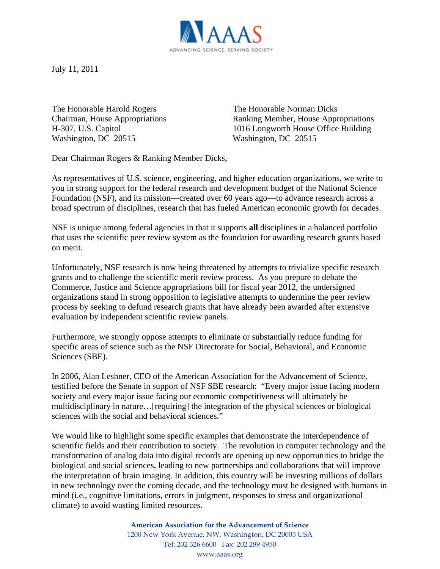

July 11, 2011

The Honorable Harold Rogers The Honorable Norman Dicks Washington, DC 20515 Washington, DC 20515

Chairman, House Appropriations Ranking Member, House Appropriations H-307, U.S. Capitol 1016 Longworth House Office Building

Dear Chairman Rogers & Ranking Member Dicks,

As representatives of U.S. science, engineering, and higher education organizations, we write to you in strong support for the federal research and development budget of the National Science Foundation (NSF), and its mission—created over 60 years ago—to advance research across a broad spectrum of disciplines, research that has fueled American economic growth for decades.

NSF is unique among federal agencies in that it supports **all** disciplines in a balanced portfolio that uses the scientific peer review system as the foundation for awarding research grants based on merit.

Unfortunately, NSF research is now being threatened by attempts to trivialize specific research grants and to challenge the scientific merit review process. As you prepare to debate the Commerce, Justice and Science appropriations bill for fiscal year 2012, the undersigned organizations stand in strong opposition to legislative attempts to undermine the peer review process by seeking to defund research grants that have already been awarded after extensive evaluation by independent scientific review panels.

Furthermore, we strongly oppose attempts to eliminate or substantially reduce funding for specific areas of science such as the NSF Directorate for Social, Behavioral, and Economic Sciences (SBE).

In 2006, Alan Leshner, CEO of the American Association for the Advancement of Science, testified before the Senate in support of NSF SBE research: "Every major issue facing modern society and every major issue facing our economic competitiveness will ultimately be multidisciplinary in nature…[requiring] the integration of the physical sciences or biological sciences with the social and behavioral sciences."

We would like to highlight some specific examples that demonstrate the interdependence of scientific fields and their contribution to society. The revolution in computer technology and the transformation of analog data into digital records are opening up new opportunities to bridge the biological and social sciences, leading to new partnerships and collaborations that will improve the interpretation of brain imaging. In addition, this country will be investing millions of dollars in new technology over the coming decade, and the technology must be designed with humans in mind (i.e., cognitive limitations, errors in judgment, responses to stress and organizational climate) to avoid wasting limited resources.

> **American Association for the Advancement of Science** 1200 New York Avenue, NW, Washington, DC 20005 USA Tel: 202 326 6600 Fax: 202 289 4950 www.aaas.org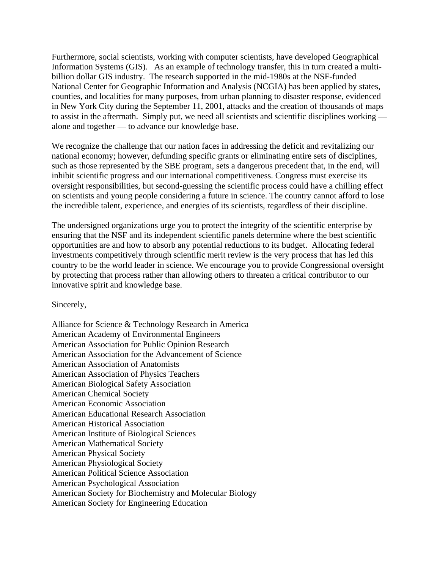Furthermore, social scientists, working with computer scientists, have developed Geographical Information Systems (GIS). As an example of technology transfer, this in turn created a multibillion dollar GIS industry. The research supported in the mid-1980s at the NSF-funded National Center for Geographic Information and Analysis (NCGIA) has been applied by states, counties, and localities for many purposes, from urban planning to disaster response, evidenced in New York City during the September 11, 2001, attacks and the creation of thousands of maps to assist in the aftermath. Simply put, we need all scientists and scientific disciplines working alone and together — to advance our knowledge base.

We recognize the challenge that our nation faces in addressing the deficit and revitalizing our national economy; however, defunding specific grants or eliminating entire sets of disciplines, such as those represented by the SBE program, sets a dangerous precedent that, in the end, will inhibit scientific progress and our international competitiveness. Congress must exercise its oversight responsibilities, but second-guessing the scientific process could have a chilling effect on scientists and young people considering a future in science. The country cannot afford to lose the incredible talent, experience, and energies of its scientists, regardless of their discipline.

The undersigned organizations urge you to protect the integrity of the scientific enterprise by ensuring that the NSF and its independent scientific panels determine where the best scientific opportunities are and how to absorb any potential reductions to its budget. Allocating federal investments competitively through scientific merit review is the very process that has led this country to be the world leader in science. We encourage you to provide Congressional oversight by protecting that process rather than allowing others to threaten a critical contributor to our innovative spirit and knowledge base.

Sincerely,

Alliance for Science & Technology Research in America American Academy of Environmental Engineers American Association for Public Opinion Research American Association for the Advancement of Science American Association of Anatomists American Association of Physics Teachers American Biological Safety Association American Chemical Society American Economic Association American Educational Research Association American Historical Association American Institute of Biological Sciences American Mathematical Society American Physical Society American Physiological Society American Political Science Association American Psychological Association American Society for Biochemistry and Molecular Biology American Society for Engineering Education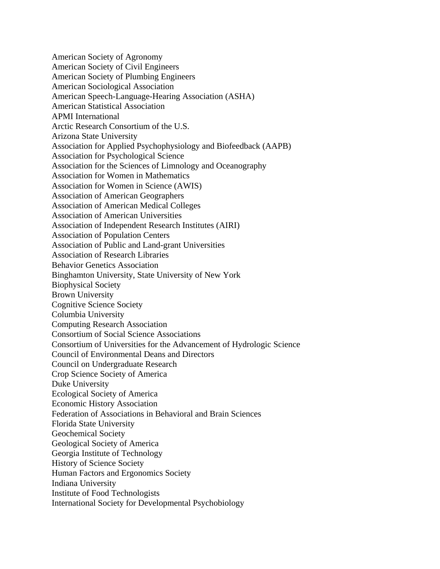American Society of Agronomy American Society of Civil Engineers American Society of Plumbing Engineers American Sociological Association American Speech-Language-Hearing Association (ASHA) American Statistical Association APMI International Arctic Research Consortium of the U.S. Arizona State University Association for Applied Psychophysiology and Biofeedback (AAPB) Association for Psychological Science Association for the Sciences of Limnology and Oceanography Association for Women in Mathematics Association for Women in Science (AWIS) Association of American Geographers Association of American Medical Colleges Association of American Universities Association of Independent Research Institutes (AIRI) Association of Population Centers Association of Public and Land-grant Universities Association of Research Libraries Behavior Genetics Association Binghamton University, State University of New York Biophysical Society Brown University Cognitive Science Society Columbia University Computing Research Association Consortium of Social Science Associations Consortium of Universities for the Advancement of Hydrologic Science Council of Environmental Deans and Directors Council on Undergraduate Research Crop Science Society of America Duke University Ecological Society of America Economic History Association Federation of Associations in Behavioral and Brain Sciences Florida State University Geochemical Society Geological Society of America Georgia Institute of Technology History of Science Society Human Factors and Ergonomics Society Indiana University Institute of Food Technologists International Society for Developmental Psychobiology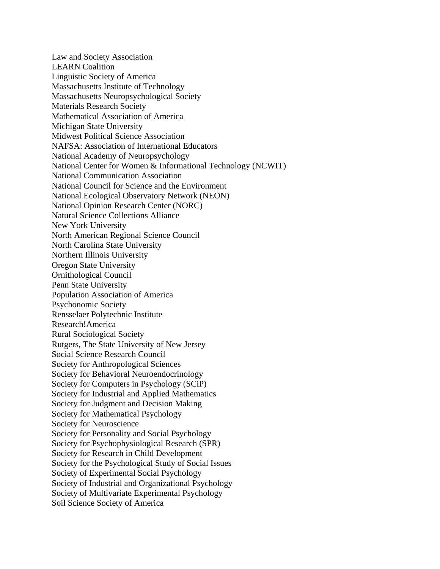Law and Society Association LEARN Coalition Linguistic Society of America Massachusetts Institute of Technology Massachusetts Neuropsychological Society Materials Research Society Mathematical Association of America Michigan State University Midwest Political Science Association NAFSA: Association of International Educators National Academy of Neuropsychology National Center for Women & Informational Technology (NCWIT) National Communication Association National Council for Science and the Environment National Ecological Observatory Network (NEON) National Opinion Research Center (NORC) Natural Science Collections Alliance New York University North American Regional Science Council North Carolina State University Northern Illinois University Oregon State University Ornithological Council Penn State University Population Association of America Psychonomic Society Rensselaer Polytechnic Institute Research!America Rural Sociological Society Rutgers, The State University of New Jersey Social Science Research Council Society for Anthropological Sciences Society for Behavioral Neuroendocrinology Society for Computers in Psychology (SCiP) Society for Industrial and Applied Mathematics Society for Judgment and Decision Making Society for Mathematical Psychology Society for Neuroscience Society for Personality and Social Psychology Society for Psychophysiological Research (SPR) Society for Research in Child Development Society for the Psychological Study of Social Issues Society of Experimental Social Psychology Society of Industrial and Organizational Psychology Society of Multivariate Experimental Psychology Soil Science Society of America